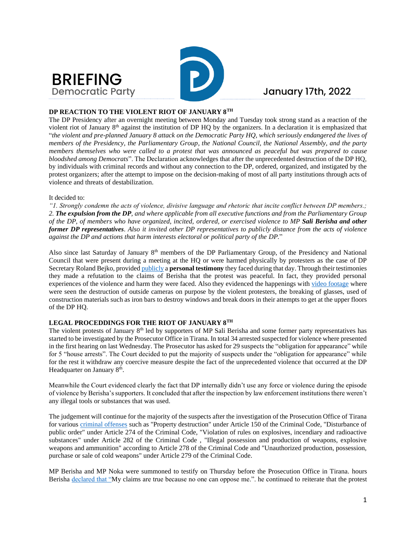



## January 17th, 2022

#### **DP REACTION TO THE VIOLENT RIOT OF JANUARY 8TH**

The DP Presidency after an overnight meeting between Monday and Tuesday took strong stand as a reaction of the violent riot of January  $8<sup>th</sup>$  against the institution of DP HQ by the organizers. In a declaration it is emphasized that "*the violent and pre-planned January 8 attack on the Democratic Party HQ, which seriously endangered the lives of members of the Presidency, the Parliamentary Group, the National Council, the National Assembly, and the party members themselves who were called to a protest that was announced as peaceful but was prepared to cause bloodshed among Democrats*". The Declaration acknowledges that after the unprecedented destruction of the DP HQ, by individuals with criminal records and without any connection to the DP, ordered, organized, and instigated by the protest organizers; after the attempt to impose on the decision-making of most of all party institutions through acts of violence and threats of destabilization.

#### It decided to:

*"1. Strongly condemn the acts of violence, divisive language and rhetoric that incite conflict between DP members.; 2. The expulsion from the DP, and where applicable from all executive functions and from the Parliamentary Group of the DP, of members who have organized, incited, ordered, or exercised violence to MP Sali Berisha and other former DP representatives. Also it invited other DP representatives to publicly distance from the acts of violence against the DP and actions that harm interests electoral or political party of the DP.*"

Also since last Saturday of January 8th members of the DP Parliamentary Group, of the Presidency and National Council that were present during a meeting at the HQ or were harmed physically by protesters as the case of DP Secretary Roland Bejko, provide[d publicly](https://www.youtube.com/watch?v=stnFW17QsJU) a **personal testimony** they faced during that day. Through their testimonies they made a refutation to the claims of Berisha that the protest was peaceful. In fact, they provided personal experiences of the violence and harm they were faced. Also they evidenced the happenings wit[h video footage](https://www.youtube.com/watch?v=zAFQI7HZvdM) where were seen the destruction of outside cameras on purpose by the violent protesters, the breaking of glasses, used of construction materials such as iron bars to destroy windows and break doors in their attempts to get at the upper floors of the DP HQ.

#### **LEGAL PROCEDDINGS FOR THE RIOT OF JANUARY 8TH**

The violent protests of January 8<sup>th</sup> led by supporters of MP Sali Berisha and some former party representatives has started to be investigated by the Prosecutor Office in Tirana. In total 34 arrested suspected for violence where presented in the first hearing on last Wednesday. The Prosecutor has asked for 29 suspects the "obligation for appearance" while for 5 "house arrests". The Court decided to put the majority of suspects under the "obligation for appearance" while for the rest it withdraw any coercive measure despite the fact of the unprecedented violence that occurred at the DP Headquarter on January 8<sup>th</sup>.

Meanwhile the Court evidenced clearly the fact that DP internally didn't use any force or violence during the episode of violence by Berisha's supporters. It concluded that after the inspection by law enforcement institutions there weren't any illegal tools or substances that was used.

The judgement will continue for the majority of the suspects after the investigation of the Prosecution Office of Tirana for various [criminal offenses](http://www.panorama.com.al/protesta-e-dhunshme-ne-pd-prokuroria-e-tiranes-vijojne-hetimet-per-34-te-arrestuarit-ja-akuzat-e-ngritura/) such as "Property destruction" under Article 150 of the Criminal Code, "Disturbance of public order" under Article 274 of the Criminal Code, "Violation of rules on explosives, incendiary and radioactive substances" under Article 282 of the Criminal Code , "Illegal possession and production of weapons, explosive weapons and ammunition" according to Article 278 of the Criminal Code and "Unauthorized production, possession, purchase or sale of cold weapons" under Article 279 of the Criminal Code.

MP Berisha and MP Noka were summoned to testify on Thursday before the Prosecution Office in Tirana. hours Berisha [declared that "M](https://www.reporter.al/berisha-deshmon-ne-prokurori-per-8-janarin/)y claims are true because no one can oppose me.". he continued to reiterate that the protest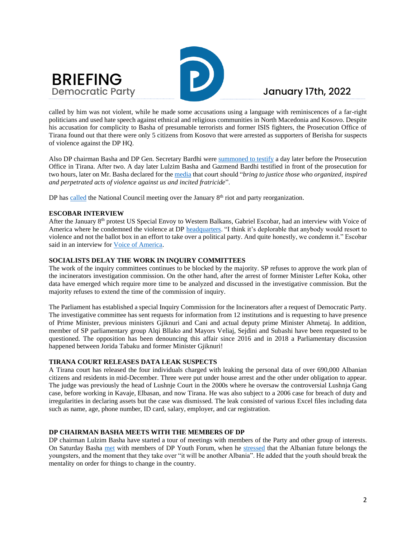



called by him was not violent, while he made some accusations using a language with reminiscences of a far-right politicians and used hate speech against ethnical and religious communities in North Macedonia and Kosovo. Despite his accusation for complicity to Basha of presumable terrorists and former ISIS fighters, the Prosecution Office of Tirana found out that there were only 5 citizens from Kosovo that were arrested as supporters of Berisha for suspects of violence against the DP HQ.

Also DP chairman Basha and DP Gen. Secretary Bardhi wer[e summoned](https://euronews.al/en/albania/2022/01/13/berisha-testifies-for-the-prosecution-regarding-jan-8-protest-at-dps-headquarters/) to testify a day later before the Prosecution Office in Tirana. After two. A day later Lulzim Basha and Gazmend Bardhi testified in front of the prosecution for two hours, later on Mr. Basha declared for the [media](https://www.reporter.al/lulzim-basha-deshmon-ne-prokurori-per-protesten-e-8-janarit/) that court should "*bring to justice those who organized, inspired and perpetrated acts of violence against us and incited fratricide*".

DP has [called](https://euronews.al/en/albania/2022/01/15/dp-calls-in-national-council-over-january-8-protest-and-party-reorganization/) the National Council meeting over the January  $8<sup>th</sup>$  riot and party reorganization.

#### **ESCOBAR INTERVIEW**

After the January 8<sup>th</sup> protest US Special Envoy to Western Balkans, Gabriel Escobar, had an interview with Voice of America where he condemned the violence at DP [headquarters.](https://exit.al/en/2022/01/12/us-envoy-condemns-january-8-violence-at-pd-headquarters/) "I think it's deplorable that anybody would resort to violence and not the ballot box in an effort to take over a political party. And quite honestly, we condemn it." Escobar said in an interview for [Voice of America.](https://www.zeriamerikes.com/a/6393839.html)

#### **SOCIALISTS DELAY THE WORK IN INQUIRY COMMITTEES**

The work of the inquiry committees continues to be blocked by the majority. SP refuses to approve the work plan of the incinerators investigation commission. On the other hand, after the arrest of former Minister Lefter Koka, other data have emerged which require more time to be analyzed and discussed in the investigative commission. But the majority refuses to extend the time of the commission of inquiry.

The Parliament has established a special Inquiry Commission for the Incinerators after a request of Democratic Party. The investigative committee has sent requests for information from 12 institutions and is requesting to have presence of Prime Minister, previous ministers Gjiknuri and Cani and actual deputy prime Minister Ahmetaj. In addition, member of SP parliamentary group Alqi Bllako and Mayors Veliaj, Sejdini and Subashi have been requested to be questioned. The opposition has been denouncing this affair since 2016 and in 2018 a Parliamentary discussion happened between Jorida Tabaku and former Minister Gjiknuri!

#### **TIRANA COURT RELEASES DATA LEAK SUSPECTS**

A Tirana court has released the four individuals charged with leaking the personal data of over 690,000 Albanian citizens and residents in mid-December. Three were put under house arrest and the other under obligation to appear. The judge was previously the head of Lushnje Court in the 2000s where he oversaw the controversial Lushnja Gang case, before working in Kavaje, Elbasan, and now Tirana. He was also subject to a 2006 case for breach of duty and irregularities in declaring assets but the case was dismissed. The leak consisted of various Excel files including data such as name, age, phone number, ID card, salary, employer, and car registration.

#### **DP CHAIRMAN BASHA MEETS WITH THE MEMBERS OF DP**

DP chairman Lulzim Basha have started a tour of meetings with members of the Party and other group of interests. On Saturday Basha [met](https://www.facebook.com/lulzimbasha.al/posts/477131287115439?__cft__%5b0%5d=AZW3PBIUkQ1IC-PhSeNmd0-ebbBk65f-r-01krjG8vcmmyYzmz7VY6tYhSSIbQfAbMQ_PjX-va3n6Bay7Fd0e_EjDM2HTdN_FdSKueMny0oCHepp5WACLVgZV6SVGy1t-18eqeAi5EXmw1vSN0fIsszc&__tn__=%2CO%2CP-R) with members of DP Youth Forum, when he [stressed](https://www.facebook.com/lulzimbasha.al/videos/296983165820504/?__cft__%5b0%5d=AZWWQUA5m1pX8ZvgVZnN8mou62HiKxOMzHxBAe_hMtqenX0MVrdpOKp9hPlQKZFHEvUUU3fiKl4g4Rrn4H0W-OINw0iXt6R9elGtqpIpSC2sc3TThtfFJp9EqmEHn5gXWlk45WC1TWCfqjngzNOhaSPQUe85rM99aQbXAu5capxitA&__tn__=%2CO%2CP-R) that the Albanian future belongs the youngsters, and the moment that they take over "it will be another Albania". He added that the youth should break the mentality on order for things to change in the country.